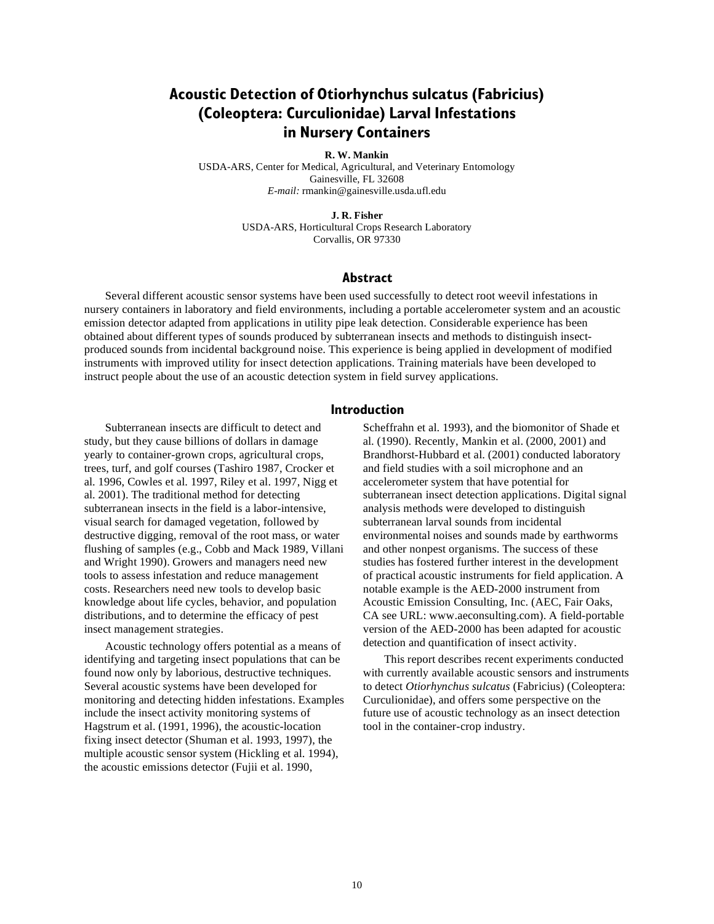# **Acoustic Detection of Otiorhynchus sulcatus (Fabricius) (Coleoptera: Curculionidae) Larval Infestations in Nursery Containers**

#### **R. W. Mankin**

USDA-ARS, Center for Medical, Agricultural, and Veterinary Entomology Gainesville, FL 32608 *E-mail:* rmankin@gainesville.usda.ufl.edu

#### **J. R. Fisher**

USDA-ARS, Horticultural Crops Research Laboratory Corvallis, OR 97330

#### **Abstract**

Several different acoustic sensor systems have been used successfully to detect root weevil infestations in nursery containers in laboratory and field environments, including a portable accelerometer system and an acoustic emission detector adapted from applications in utility pipe leak detection. Considerable experience has been obtained about different types of sounds produced by subterranean insects and methods to distinguish insectproduced sounds from incidental background noise. This experience is being applied in development of modified instruments with improved utility for insect detection applications. Training materials have been developed to instruct people about the use of an acoustic detection system in field survey applications.

#### **Introduction**

Subterranean insects are difficult to detect and study, but they cause billions of dollars in damage yearly to container-grown crops, agricultural crops, trees, turf, and golf courses (Tashiro 1987, Crocker et al. 1996, Cowles et al. 1997, Riley et al. 1997, Nigg et al. 2001). The traditional method for detecting subterranean insects in the field is a labor-intensive, visual search for damaged vegetation, followed by destructive digging, removal of the root mass, or water flushing of samples (e.g., Cobb and Mack 1989, Villani and Wright 1990). Growers and managers need new tools to assess infestation and reduce management costs. Researchers need new tools to develop basic knowledge about life cycles, behavior, and population distributions, and to determine the efficacy of pest insect management strategies.

Acoustic technology offers potential as a means of identifying and targeting insect populations that can be found now only by laborious, destructive techniques. Several acoustic systems have been developed for monitoring and detecting hidden infestations. Examples include the insect activity monitoring systems of Hagstrum et al. (1991, 1996), the acoustic-location fixing insect detector (Shuman et al. 1993, 1997), the multiple acoustic sensor system (Hickling et al. 1994), the acoustic emissions detector (Fujii et al. 1990,

Scheffrahn et al. 1993), and the biomonitor of Shade et al. (1990). Recently, Mankin et al. (2000, 2001) and Brandhorst-Hubbard et al. (2001) conducted laboratory and field studies with a soil microphone and an accelerometer system that have potential for subterranean insect detection applications. Digital signal analysis methods were developed to distinguish subterranean larval sounds from incidental environmental noises and sounds made by earthworms and other nonpest organisms. The success of these studies has fostered further interest in the development of practical acoustic instruments for field application. A notable example is the AED-2000 instrument from Acoustic Emission Consulting, Inc. (AEC, Fair Oaks, CA see URL: www.aeconsulting.com). A field-portable version of the AED-2000 has been adapted for acoustic detection and quantification of insect activity.

This report describes recent experiments conducted with currently available acoustic sensors and instruments to detect *Otiorhynchus sulcatus* (Fabricius) (Coleoptera: Curculionidae), and offers some perspective on the future use of acoustic technology as an insect detection tool in the container-crop industry.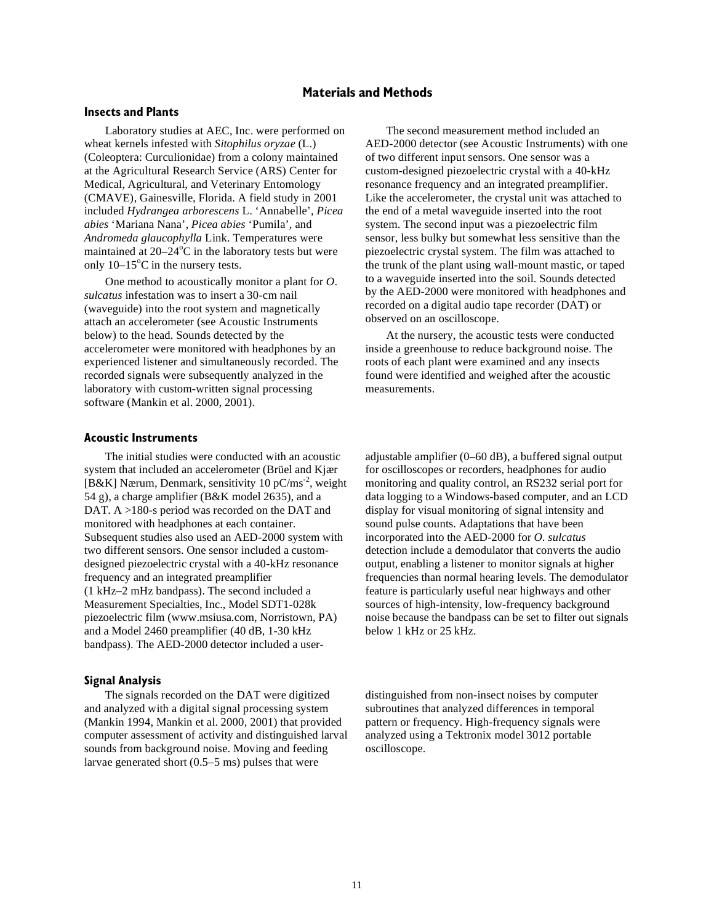# **Materials and Methods**

### **Insects and Plants**

Laboratory studies at AEC, Inc. were performed on wheat kernels infested with *Sitophilus oryzae* (L.) (Coleoptera: Curculionidae) from a colony maintained at the Agricultural Research Service (ARS) Center for Medical, Agricultural, and Veterinary Entomology (CMAVE), Gainesville, Florida. A field study in 2001 included *Hydrangea arborescens* L. 'Annabelle', *Picea abies* 'Mariana Nana', *Picea abies* 'Pumila', and *Andromeda glaucophylla* Link. Temperatures were maintained at  $20-24$ °C in the laboratory tests but were only  $10-15^{\circ}$ C in the nursery tests.

One method to acoustically monitor a plant for *O. sulcatus* infestation was to insert a 30-cm nail (waveguide) into the root system and magnetically attach an accelerometer (see Acoustic Instruments below) to the head. Sounds detected by the accelerometer were monitored with headphones by an experienced listener and simultaneously recorded. The recorded signals were subsequently analyzed in the laboratory with custom-written signal processing software (Mankin et al. 2000, 2001).

The second measurement method included an AED-2000 detector (see Acoustic Instruments) with one of two different input sensors. One sensor was a custom-designed piezoelectric crystal with a 40-kHz resonance frequency and an integrated preamplifier. Like the accelerometer, the crystal unit was attached to the end of a metal waveguide inserted into the root system. The second input was a piezoelectric film sensor, less bulky but somewhat less sensitive than the piezoelectric crystal system. The film was attached to the trunk of the plant using wall-mount mastic, or taped to a waveguide inserted into the soil. Sounds detected by the AED-2000 were monitored with headphones and recorded on a digital audio tape recorder (DAT) or observed on an oscilloscope.

At the nursery, the acoustic tests were conducted inside a greenhouse to reduce background noise. The roots of each plant were examined and any insects found were identified and weighed after the acoustic measurements.

#### **Acoustic Instruments**

The initial studies were conducted with an acoustic system that included an accelerometer (Brüel and Kjær [ $B&K$ ] Nærum, Denmark, sensitivity 10 pC/ms<sup>-2</sup>, weight 54 g), a charge amplifier (B&K model 2635), and a DAT. A >180-s period was recorded on the DAT and monitored with headphones at each container. Subsequent studies also used an AED-2000 system with two different sensors. One sensor included a customdesigned piezoelectric crystal with a 40-kHz resonance frequency and an integrated preamplifier (1 kHz–2 mHz bandpass). The second included a Measurement Specialties, Inc., Model SDT1-028k piezoelectric film (www.msiusa.com, Norristown, PA) and a Model 2460 preamplifier (40 dB, 1-30 kHz bandpass). The AED-2000 detector included a user-

### **Signal Analysis**

The signals recorded on the DAT were digitized and analyzed with a digital signal processing system (Mankin 1994, Mankin et al. 2000, 2001) that provided computer assessment of activity and distinguished larval sounds from background noise. Moving and feeding larvae generated short (0.5–5 ms) pulses that were

adjustable amplifier (0–60 dB), a buffered signal output for oscilloscopes or recorders, headphones for audio monitoring and quality control, an RS232 serial port for data logging to a Windows-based computer, and an LCD display for visual monitoring of signal intensity and sound pulse counts. Adaptations that have been incorporated into the AED-2000 for *O. sulcatus* detection include a demodulator that converts the audio output, enabling a listener to monitor signals at higher frequencies than normal hearing levels. The demodulator feature is particularly useful near highways and other sources of high-intensity, low-frequency background noise because the bandpass can be set to filter out signals below 1 kHz or 25 kHz.

distinguished from non-insect noises by computer subroutines that analyzed differences in temporal pattern or frequency. High-frequency signals were analyzed using a Tektronix model 3012 portable oscilloscope.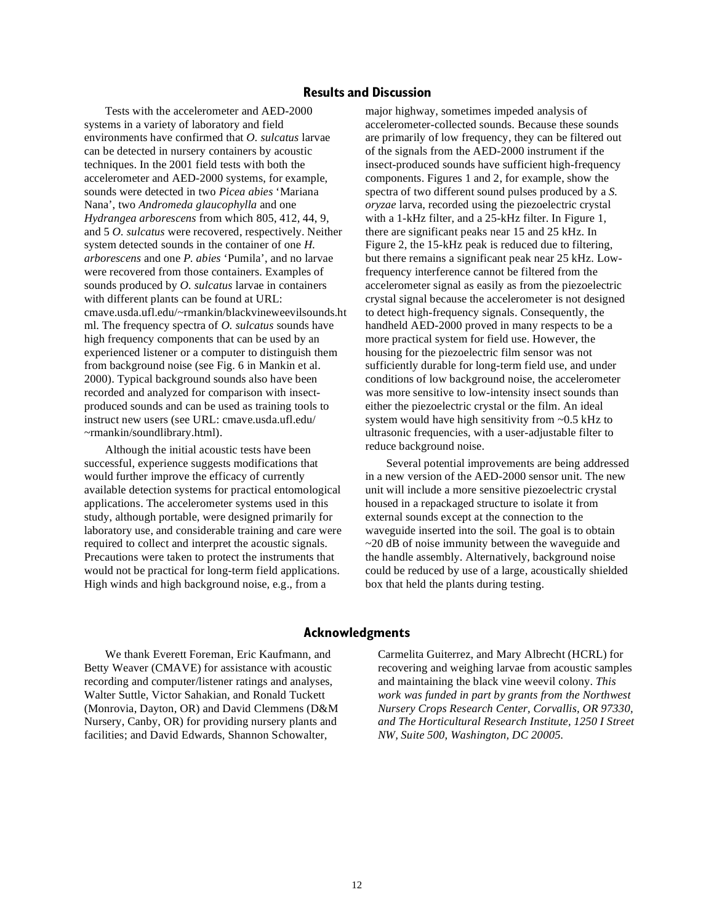#### **Results and Discussion**

Tests with the accelerometer and AED-2000 systems in a variety of laboratory and field environments have confirmed that *O. sulcatus* larvae can be detected in nursery containers by acoustic techniques. In the 2001 field tests with both the accelerometer and AED-2000 systems, for example, sounds were detected in two *Picea abies* 'Mariana Nana', two *Andromeda glaucophylla* and one *Hydrangea arborescens* from which 805, 412, 44, 9, and 5 *O. sulcatus* were recovered, respectively. Neither system detected sounds in the container of one *H. arborescens* and one *P. abies* 'Pumila', and no larvae were recovered from those containers. Examples of sounds produced by *O. sulcatus* larvae in containers with different plants can be found at URL: cmave.usda.ufl.edu/~rmankin/blackvineweevilsounds.ht ml. The frequency spectra of *O. sulcatus* sounds have high frequency components that can be used by an experienced listener or a computer to distinguish them from background noise (see Fig. 6 in Mankin et al. 2000). Typical background sounds also have been recorded and analyzed for comparison with insectproduced sounds and can be used as training tools to instruct new users (see URL: cmave.usda.ufl.edu/ ~rmankin/soundlibrary.html).

Although the initial acoustic tests have been successful, experience suggests modifications that would further improve the efficacy of currently available detection systems for practical entomological applications. The accelerometer systems used in this study, although portable, were designed primarily for laboratory use, and considerable training and care were required to collect and interpret the acoustic signals. Precautions were taken to protect the instruments that would not be practical for long-term field applications. High winds and high background noise, e.g., from a

major highway, sometimes impeded analysis of accelerometer-collected sounds. Because these sounds are primarily of low frequency, they can be filtered out of the signals from the AED-2000 instrument if the insect-produced sounds have sufficient high-frequency components. Figures 1 and 2, for example, show the spectra of two different sound pulses produced by a *S. oryzae* larva, recorded using the piezoelectric crystal with a 1-kHz filter, and a 25-kHz filter. In Figure 1, there are significant peaks near 15 and 25 kHz. In Figure 2, the 15-kHz peak is reduced due to filtering, but there remains a significant peak near 25 kHz. Lowfrequency interference cannot be filtered from the accelerometer signal as easily as from the piezoelectric crystal signal because the accelerometer is not designed to detect high-frequency signals. Consequently, the handheld AED-2000 proved in many respects to be a more practical system for field use. However, the housing for the piezoelectric film sensor was not sufficiently durable for long-term field use, and under conditions of low background noise, the accelerometer was more sensitive to low-intensity insect sounds than either the piezoelectric crystal or the film. An ideal system would have high sensitivity from ~0.5 kHz to ultrasonic frequencies, with a user-adjustable filter to reduce background noise.

Several potential improvements are being addressed in a new version of the AED-2000 sensor unit. The new unit will include a more sensitive piezoelectric crystal housed in a repackaged structure to isolate it from external sounds except at the connection to the waveguide inserted into the soil. The goal is to obtain ~20 dB of noise immunity between the waveguide and the handle assembly. Alternatively, background noise could be reduced by use of a large, acoustically shielded box that held the plants during testing.

#### **Acknowledgments**

We thank Everett Foreman, Eric Kaufmann, and Betty Weaver (CMAVE) for assistance with acoustic recording and computer/listener ratings and analyses, Walter Suttle, Victor Sahakian, and Ronald Tuckett (Monrovia, Dayton, OR) and David Clemmens (D&M Nursery, Canby, OR) for providing nursery plants and facilities; and David Edwards, Shannon Schowalter,

Carmelita Guiterrez, and Mary Albrecht (HCRL) for recovering and weighing larvae from acoustic samples and maintaining the black vine weevil colony. *This work was funded in part by grants from the Northwest Nursery Crops Research Center, Corvallis, OR 97330, and The Horticultural Research Institute, 1250 I Street NW, Suite 500, Washington, DC 20005.*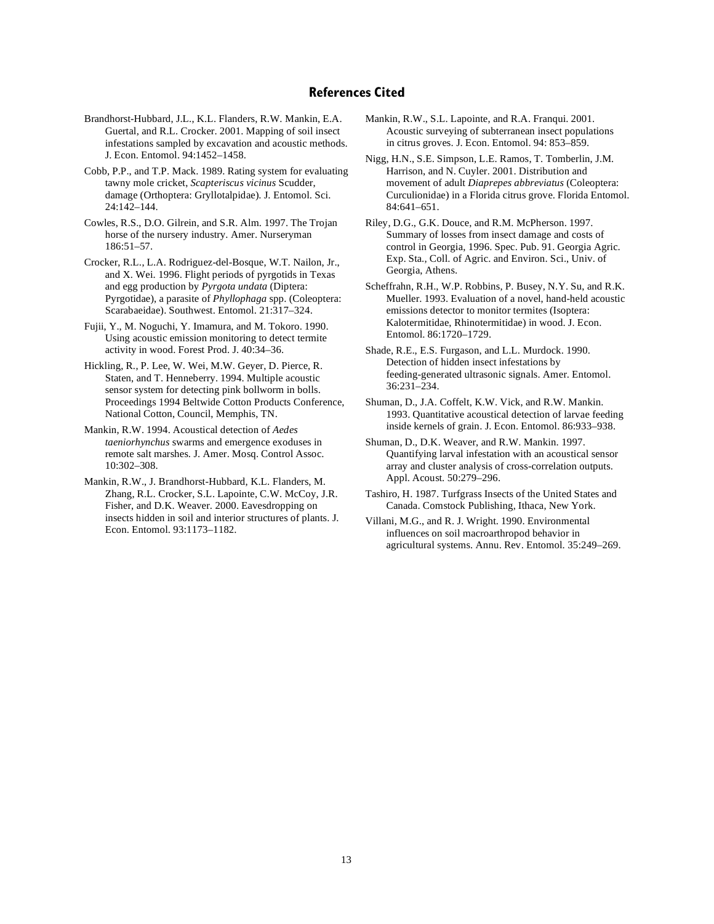## **References Cited**

- Brandhorst-Hubbard, J.L., K.L. Flanders, R.W. Mankin, E.A. Guertal, and R.L. Crocker. 2001. Mapping of soil insect infestations sampled by excavation and acoustic methods. J. Econ. Entomol. 94:1452–1458.
- Cobb, P.P., and T.P. Mack. 1989. Rating system for evaluating tawny mole cricket, *Scapteriscus vicinus* Scudder, damage (Orthoptera: Gryllotalpidae). J. Entomol. Sci. 24:142–144.
- Cowles, R.S., D.O. Gilrein, and S.R. Alm. 1997. The Trojan horse of the nursery industry. Amer. Nurseryman 186:51–57.
- Crocker, R.L., L.A. Rodriguez-del-Bosque, W.T. Nailon, Jr., and X. Wei. 1996. Flight periods of pyrgotids in Texas and egg production by *Pyrgota undata* (Diptera: Pyrgotidae), a parasite of *Phyllophaga* spp. (Coleoptera: Scarabaeidae). Southwest. Entomol. 21:317–324.
- Fujii, Y., M. Noguchi, Y. Imamura, and M. Tokoro. 1990. Using acoustic emission monitoring to detect termite activity in wood. Forest Prod. J. 40:34–36.
- Hickling, R., P. Lee, W. Wei, M.W. Geyer, D. Pierce, R. Staten, and T. Henneberry. 1994. Multiple acoustic sensor system for detecting pink bollworm in bolls. Proceedings 1994 Beltwide Cotton Products Conference, National Cotton, Council, Memphis, TN.
- Mankin, R.W. 1994. Acoustical detection of *Aedes taeniorhynchus* swarms and emergence exoduses in remote salt marshes. J. Amer. Mosq. Control Assoc. 10:302–308.
- Mankin, R.W., J. Brandhorst-Hubbard, K.L. Flanders, M. Zhang, R.L. Crocker, S.L. Lapointe, C.W. McCoy, J.R. Fisher, and D.K. Weaver. 2000. Eavesdropping on insects hidden in soil and interior structures of plants. J. Econ. Entomol. 93:1173–1182.
- Mankin, R.W., S.L. Lapointe, and R.A. Franqui. 2001. Acoustic surveying of subterranean insect populations in citrus groves. J. Econ. Entomol. 94: 853–859.
- Nigg, H.N., S.E. Simpson, L.E. Ramos, T. Tomberlin, J.M. Harrison, and N. Cuyler. 2001. Distribution and movement of adult *Diaprepes abbreviatus* (Coleoptera: Curculionidae) in a Florida citrus grove. Florida Entomol. 84:641–651.
- Riley, D.G., G.K. Douce, and R.M. McPherson. 1997. Summary of losses from insect damage and costs of control in Georgia, 1996. Spec. Pub. 91. Georgia Agric. Exp. Sta., Coll. of Agric. and Environ. Sci., Univ. of Georgia, Athens.
- Scheffrahn, R.H., W.P. Robbins, P. Busey, N.Y. Su, and R.K. Mueller. 1993. Evaluation of a novel, hand-held acoustic emissions detector to monitor termites (Isoptera: Kalotermitidae, Rhinotermitidae) in wood. J. Econ. Entomol. 86:1720–1729.
- Shade, R.E., E.S. Furgason, and L.L. Murdock. 1990. Detection of hidden insect infestations by feeding-generated ultrasonic signals. Amer. Entomol. 36:231–234.
- Shuman, D., J.A. Coffelt, K.W. Vick, and R.W. Mankin. 1993. Quantitative acoustical detection of larvae feeding inside kernels of grain. J. Econ. Entomol. 86:933–938.
- Shuman, D., D.K. Weaver, and R.W. Mankin. 1997. Quantifying larval infestation with an acoustical sensor array and cluster analysis of cross-correlation outputs. Appl. Acoust. 50:279–296.
- Tashiro, H. 1987. Turfgrass Insects of the United States and Canada. Comstock Publishing, Ithaca, New York.
- Villani, M.G., and R. J. Wright. 1990. Environmental influences on soil macroarthropod behavior in agricultural systems. Annu. Rev. Entomol. 35:249–269.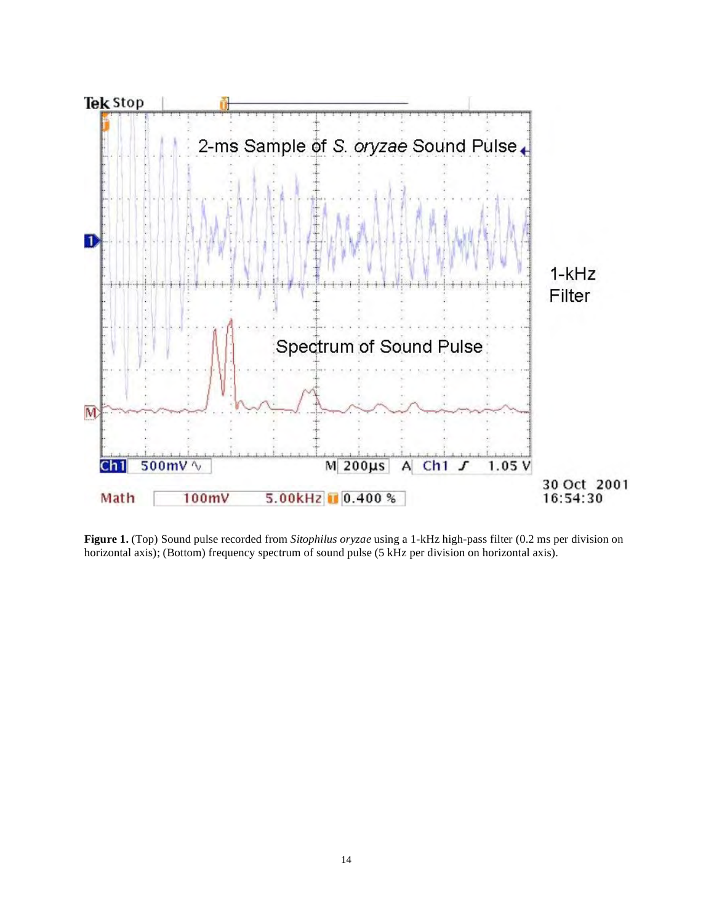

**Figure 1.** (Top) Sound pulse recorded from *Sitophilus oryzae* using a 1-kHz high-pass filter (0.2 ms per division on horizontal axis); (Bottom) frequency spectrum of sound pulse (5 kHz per division on horizontal axis).